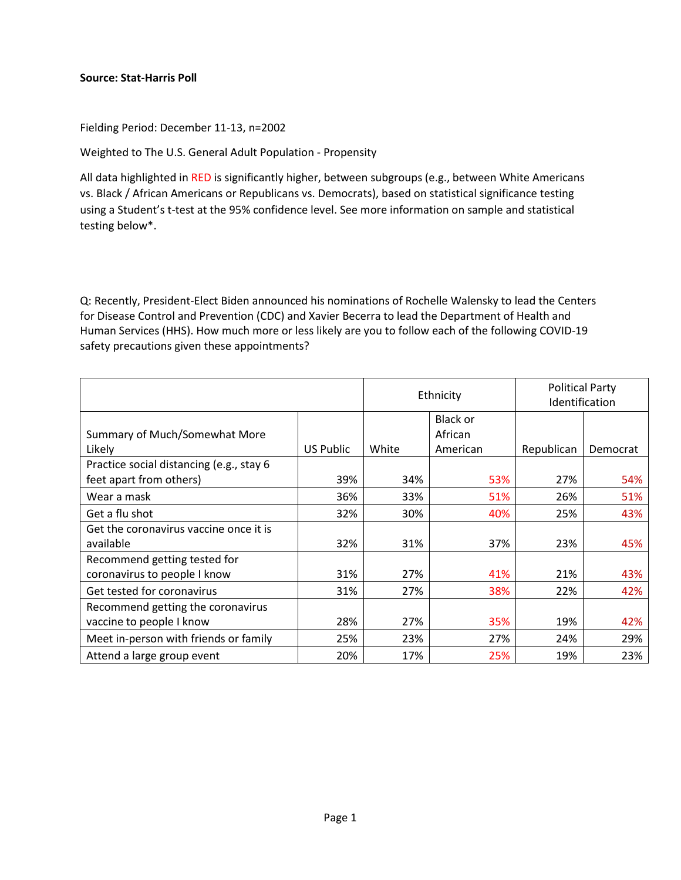## **Source: Stat-Harris Poll**

Fielding Period: December 11-13, n=2002

Weighted to The U.S. General Adult Population - Propensity

All data highlighted in RED is significantly higher, between subgroups (e.g., between White Americans vs. Black / African Americans or Republicans vs. Democrats), based on statistical significance testing using a Student's t-test at the 95% confidence level. See more information on sample and statistical testing below\*.

Q: Recently, President-Elect Biden announced his nominations of Rochelle Walensky to lead the Centers for Disease Control and Prevention (CDC) and Xavier Becerra to lead the Department of Health and Human Services (HHS). How much more or less likely are you to follow each of the following COVID-19 safety precautions given these appointments?

|                                          |           | Ethnicity |          | <b>Political Party</b><br>Identification |          |
|------------------------------------------|-----------|-----------|----------|------------------------------------------|----------|
|                                          |           |           | Black or |                                          |          |
| Summary of Much/Somewhat More            |           |           | African  |                                          |          |
| Likely                                   | US Public | White     | American | Republican                               | Democrat |
| Practice social distancing (e.g., stay 6 |           |           |          |                                          |          |
| feet apart from others)                  | 39%       | 34%       | 53%      | 27%                                      | 54%      |
| Wear a mask                              | 36%       | 33%       | 51%      | 26%                                      | 51%      |
| Get a flu shot                           | 32%       | 30%       | 40%      | 25%                                      | 43%      |
| Get the coronavirus vaccine once it is   |           |           |          |                                          |          |
| available                                | 32%       | 31%       | 37%      | 23%                                      | 45%      |
| Recommend getting tested for             |           |           |          |                                          |          |
| coronavirus to people I know             | 31%       | 27%       | 41%      | 21%                                      | 43%      |
| Get tested for coronavirus               | 31%       | 27%       | 38%      | 22%                                      | 42%      |
| Recommend getting the coronavirus        |           |           |          |                                          |          |
| vaccine to people I know                 | 28%       | 27%       | 35%      | 19%                                      | 42%      |
| Meet in-person with friends or family    | 25%       | 23%       | 27%      | 24%                                      | 29%      |
| Attend a large group event               | 20%       | 17%       | 25%      | 19%                                      | 23%      |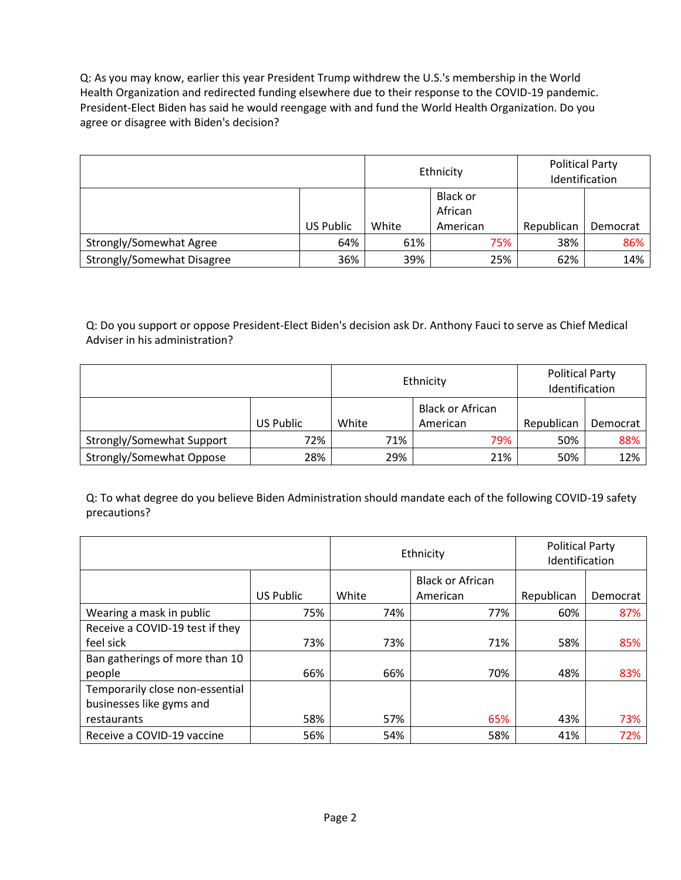Q: As you may know, earlier this year President Trump withdrew the U.S.'s membership in the World Health Organization and redirected funding elsewhere due to their response to the COVID-19 pandemic. President-Elect Biden has said he would reengage with and fund the World Health Organization. Do you agree or disagree with Biden's decision?

|                            |           | Ethnicity |                     | <b>Political Party</b><br>Identification |          |
|----------------------------|-----------|-----------|---------------------|------------------------------------------|----------|
|                            |           |           | Black or<br>African |                                          |          |
|                            | US Public | White     | American            | Republican                               | Democrat |
| Strongly/Somewhat Agree    | 64%       | 61%       | 75%                 | 38%                                      | 86%      |
| Strongly/Somewhat Disagree | 36%       | 39%       | 25%                 | 62%                                      | 14%      |

Q: Do you support or oppose President-Elect Biden's decision ask Dr. Anthony Fauci to serve as Chief Medical Adviser in his administration?

|                           |           | Ethnicity |     | <b>Political Party</b><br>Identification |            |          |
|---------------------------|-----------|-----------|-----|------------------------------------------|------------|----------|
|                           |           |           |     | <b>Black or African</b>                  |            |          |
|                           | US Public | White     |     | American                                 | Republican | Democrat |
| Strongly/Somewhat Support | 72%       |           | 71% | 79%                                      | 50%        | 88%      |
| Strongly/Somewhat Oppose  | 28%       |           | 29% | 21%                                      | 50%        | 12%      |

Q: To what degree do you believe Biden Administration should mandate each of the following COVID-19 safety precautions?

|                                 |           | Ethnicity |                         | <b>Political Party</b><br>Identification |          |
|---------------------------------|-----------|-----------|-------------------------|------------------------------------------|----------|
|                                 |           |           | <b>Black or African</b> |                                          |          |
|                                 | US Public | White     | American                | Republican                               | Democrat |
| Wearing a mask in public        | 75%       | 74%       | 77%                     | 60%                                      | 87%      |
| Receive a COVID-19 test if they |           |           |                         |                                          |          |
| feel sick                       | 73%       | 73%       | 71%                     | 58%                                      | 85%      |
| Ban gatherings of more than 10  |           |           |                         |                                          |          |
| people                          | 66%       | 66%       | 70%                     | 48%                                      | 83%      |
| Temporarily close non-essential |           |           |                         |                                          |          |
| businesses like gyms and        |           |           |                         |                                          |          |
| restaurants                     | 58%       | 57%       | 65%                     | 43%                                      | 73%      |
| Receive a COVID-19 vaccine      | 56%       | 54%       | 58%                     | 41%                                      | 72%      |